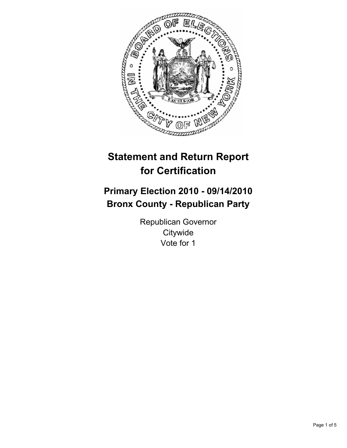

# **Statement and Return Report for Certification**

## **Primary Election 2010 - 09/14/2010 Bronx County - Republican Party**

Republican Governor **Citywide** Vote for 1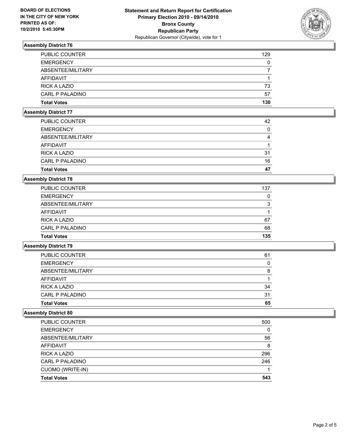

## **Assembly District 76**

| <b>Total Votes</b>    | 130 |
|-----------------------|-----|
| CARL P PALADINO       | 57  |
| <b>RICK A LAZIO</b>   | 73  |
| AFFIDAVIT             |     |
| ABSENTEE/MILITARY     |     |
| <b>EMERGENCY</b>      | 0   |
| <b>PUBLIC COUNTER</b> | 129 |

#### **Assembly District 77**

| <b>Total Votes</b>    | 47 |
|-----------------------|----|
| CARL P PALADINO       | 16 |
| RICK A LAZIO          | 31 |
| AFFIDAVIT             |    |
| ABSENTEE/MILITARY     | 4  |
| <b>EMERGENCY</b>      | 0  |
| <b>PUBLIC COUNTER</b> | 42 |

#### **Assembly District 78**

| <b>PUBLIC COUNTER</b>  | 137 |
|------------------------|-----|
| <b>EMERGENCY</b>       | 0   |
| ABSENTEE/MILITARY      | 3   |
| AFFIDAVIT              |     |
| <b>RICK A LAZIO</b>    | 67  |
| <b>CARL P PALADINO</b> | 68  |
| <b>Total Votes</b>     | 135 |

### **Assembly District 79**

| <b>Total Votes</b>    | 65 |
|-----------------------|----|
|                       |    |
| CARL P PALADINO       | 31 |
| <b>RICK A LAZIO</b>   | 34 |
| AFFIDAVIT             |    |
| ABSENTEE/MILITARY     | 8  |
| <b>EMERGENCY</b>      | 0  |
| <b>PUBLIC COUNTER</b> | 61 |

## **Assembly District 80**

| <b>Total Votes</b>    | 543 |
|-----------------------|-----|
| CUOMO (WRITE-IN)      |     |
| CARL P PALADINO       | 246 |
| <b>RICK A LAZIO</b>   | 296 |
| <b>AFFIDAVIT</b>      | 8   |
| ABSENTEE/MILITARY     | 56  |
| <b>EMERGENCY</b>      | 0   |
| <b>PUBLIC COUNTER</b> | 500 |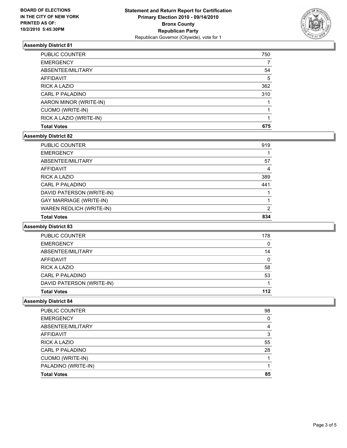

## **Assembly District 81**

| <b>Total Votes</b>      | 675 |
|-------------------------|-----|
| RICK A LAZIO (WRITE-IN) |     |
| CUOMO (WRITE-IN)        |     |
| AARON MINOR (WRITE-IN)  |     |
| CARL P PALADINO         | 310 |
| <b>RICK A LAZIO</b>     | 362 |
| <b>AFFIDAVIT</b>        | 5   |
| ABSENTEE/MILITARY       | 54  |
| <b>EMERGENCY</b>        |     |
| PUBLIC COUNTER          | 750 |

#### **Assembly District 82**

| PUBLIC COUNTER                 | 919 |
|--------------------------------|-----|
| <b>EMERGENCY</b>               |     |
| ABSENTEE/MILITARY              | 57  |
| AFFIDAVIT                      | 4   |
| RICK A LAZIO                   | 389 |
| CARL P PALADINO                | 441 |
| DAVID PATERSON (WRITE-IN)      |     |
| <b>GAY MARRIAGE (WRITE-IN)</b> |     |
| WAREN REDLICH (WRITE-IN)       | 2   |
| <b>Total Votes</b>             | 834 |

#### **Assembly District 83**

| <b>PUBLIC COUNTER</b>     | 178 |
|---------------------------|-----|
|                           |     |
| <b>EMERGENCY</b>          | 0   |
| ABSENTEE/MILITARY         | 14  |
| AFFIDAVIT                 | 0   |
| RICK A LAZIO              | 58  |
| <b>CARL P PALADINO</b>    | 53  |
| DAVID PATERSON (WRITE-IN) |     |
| <b>Total Votes</b>        | 112 |

## **Assembly District 84**

| <b>PUBLIC COUNTER</b> | 98 |
|-----------------------|----|
| <b>EMERGENCY</b>      | 0  |
| ABSENTEE/MILITARY     | 4  |
| AFFIDAVIT             | 3  |
| RICK A LAZIO          | 55 |
| CARL P PALADINO       | 28 |
| CUOMO (WRITE-IN)      |    |
| PALADINO (WRITE-IN)   |    |
| <b>Total Votes</b>    | 85 |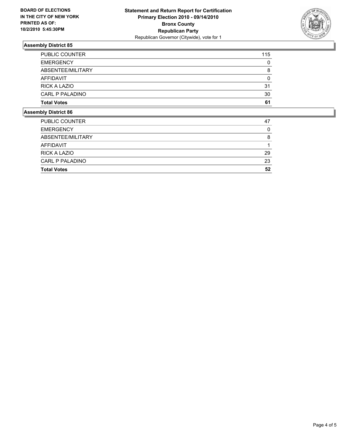

## **Assembly District 85**

| <b>Total Votes</b>     | 61  |
|------------------------|-----|
| <b>CARL P PALADINO</b> | 30  |
| <b>RICK A LAZIO</b>    | 31  |
| AFFIDAVIT              | 0   |
| ABSENTEE/MILITARY      | 8   |
| <b>EMERGENCY</b>       | 0   |
| <b>PUBLIC COUNTER</b>  | 115 |

#### **Assembly District 86**

| <b>Total Votes</b>     | 52 |
|------------------------|----|
| <b>CARL P PALADINO</b> | 23 |
| <b>RICK A LAZIO</b>    | 29 |
| AFFIDAVIT              |    |
| ABSENTEE/MILITARY      | 8  |
| <b>EMERGENCY</b>       | 0  |
| <b>PUBLIC COUNTER</b>  | 47 |